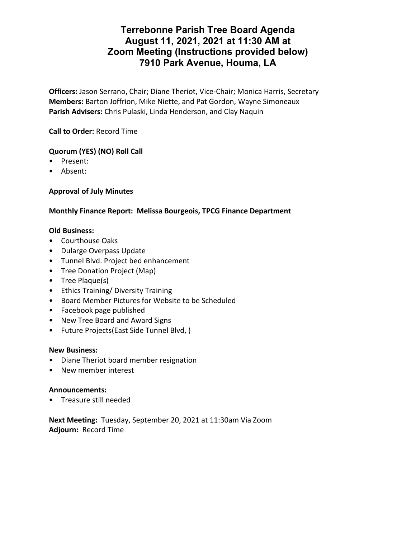# **Terrebonne Parish Tree Board Agenda August 11, 2021, 2021 at 11:30 AM at Zoom Meeting (Instructions provided below) 7910 Park Avenue, Houma, LA**

**Officers:** Jason Serrano, Chair; Diane Theriot, Vice-Chair; Monica Harris, Secretary **Members:** Barton Joffrion, Mike Niette, and Pat Gordon, Wayne Simoneaux **Parish Advisers:** Chris Pulaski, Linda Henderson, and Clay Naquin

**Call to Order:** Record Time

## **Quorum (YES) (NO) Roll Call**

- Present:
- Absent:

## **Approval of July Minutes**

## **Monthly Finance Report: Melissa Bourgeois, TPCG Finance Department**

### **Old Business:**

- Courthouse Oaks
- Dularge Overpass Update
- Tunnel Blvd. Project bed enhancement
- Tree Donation Project (Map)
- Tree Plaque(s)
- Ethics Training/ Diversity Training
- Board Member Pictures for Website to be Scheduled
- Facebook page published
- New Tree Board and Award Signs
- Future Projects(East Side Tunnel Blvd, )

#### **New Business:**

- Diane Theriot board member resignation
- New member interest

### **Announcements:**

• Treasure still needed

**Next Meeting:** Tuesday, September 20, 2021 at 11:30am Via Zoom **Adjourn:** Record Time